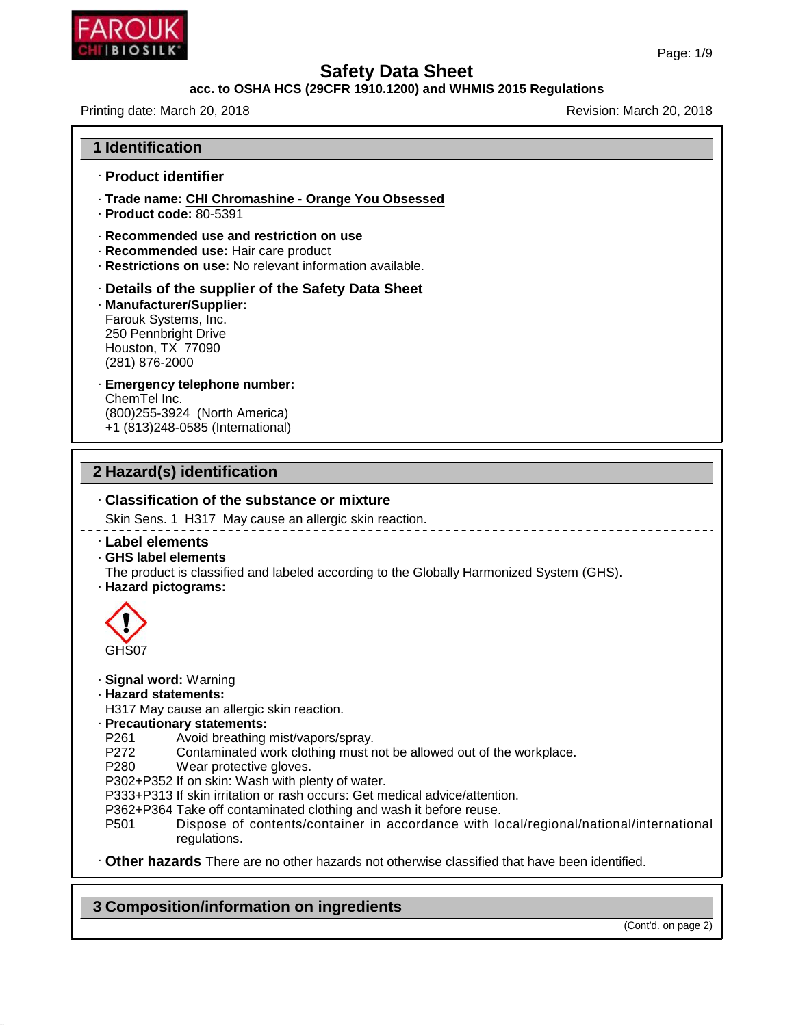

### **acc. to OSHA HCS (29CFR 1910.1200) and WHMIS 2015 Regulations**

Printing date: March 20, 2018 **Printing date: March 20, 2018** 

| <b>1 Identification</b>                                                                                                                                                                                                                                                                                                                                                                                                                               |
|-------------------------------------------------------------------------------------------------------------------------------------------------------------------------------------------------------------------------------------------------------------------------------------------------------------------------------------------------------------------------------------------------------------------------------------------------------|
| · Product identifier                                                                                                                                                                                                                                                                                                                                                                                                                                  |
| · Trade name: CHI Chromashine - Orange You Obsessed<br>$\cdot$ Product code: 80-5391                                                                                                                                                                                                                                                                                                                                                                  |
| ⋅ Recommended use and restriction on use<br>Recommended use: Hair care product<br>· Restrictions on use: No relevant information available.                                                                                                                                                                                                                                                                                                           |
| Details of the supplier of the Safety Data Sheet<br>· Manufacturer/Supplier:<br>Farouk Systems, Inc.<br>250 Pennbright Drive<br>Houston, TX 77090<br>(281) 876-2000                                                                                                                                                                                                                                                                                   |
| · Emergency telephone number:<br>ChemTel Inc.<br>(800) 255-3924 (North America)<br>+1 (813)248-0585 (International)                                                                                                                                                                                                                                                                                                                                   |
| 2 Hazard(s) identification                                                                                                                                                                                                                                                                                                                                                                                                                            |
| . Classification of the substance or mixture                                                                                                                                                                                                                                                                                                                                                                                                          |
| Skin Sens. 1 H317 May cause an allergic skin reaction.                                                                                                                                                                                                                                                                                                                                                                                                |
| · Label elements<br>· GHS label elements<br>The product is classified and labeled according to the Globally Harmonized System (GHS).<br>· Hazard pictograms:                                                                                                                                                                                                                                                                                          |
| GHS07                                                                                                                                                                                                                                                                                                                                                                                                                                                 |
| · Signal word: Warning<br>· Hazard statements:<br>H317 May cause an allergic skin reaction.<br>· Precautionary statements:<br>P <sub>261</sub><br>Avoid breathing mist/vapors/spray.<br>P272<br>Contaminated work clothing must not be allowed out of the workplace.<br>P <sub>280</sub><br>Wear protective gloves.<br>P302+P352 If on skin: Wash with plenty of water.<br>P333+P313 If skin irritation or rash occurs: Get medical advice/attention. |
| P362+P364 Take off contaminated clothing and wash it before reuse.<br>Dispose of contents/container in accordance with local/regional/national/international<br>P501<br>regulations.                                                                                                                                                                                                                                                                  |
| . Other hazards There are no other hazards not otherwise classified that have been identified.                                                                                                                                                                                                                                                                                                                                                        |

# **3 Composition/information on ingredients**

46.1.6.1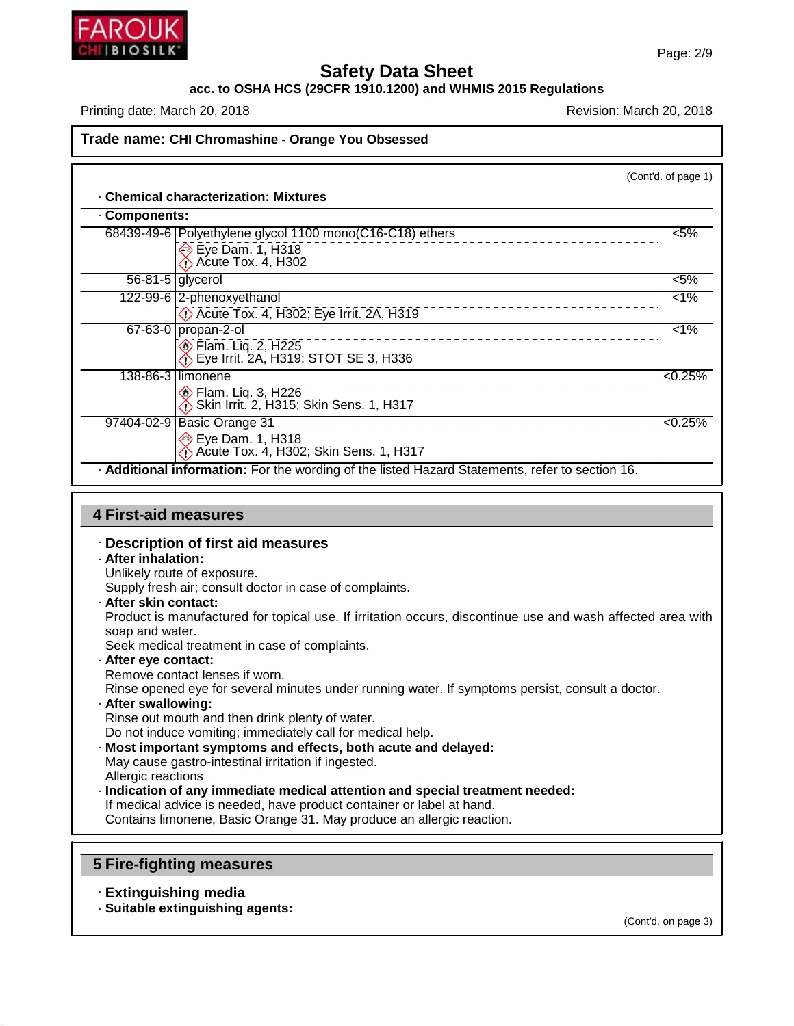

### **acc. to OSHA HCS (29CFR 1910.1200) and WHMIS 2015 Regulations**

Printing date: March 20, 2018 **Printing date: March 20, 2018** Revision: March 20, 2018

(Cont'd. of page 1)

### · **Chemical characterization: Mixtures**

| Components: |                                                                                                      |         |
|-------------|------------------------------------------------------------------------------------------------------|---------|
|             | 68439-49-6   Polyethylene glycol 1100 mono(C16-C18) ethers<br>$\bullet$ Eye Dam. 1, H318             | $< 5\%$ |
|             | $\overline{56-81-5}$ glycerol                                                                        | $< 5\%$ |
|             | 122-99-6 2-phenoxyethanol<br>De Acute Tox. 4, H302; Eye Irrit. 2A, H319                              | $1\%$   |
|             | 67-63-0 propan-2-ol<br>$\circ$ Flam. Liq. 2, H225<br>$\bullet$ Eye Irrit. 2A, H319; STOT SE 3, H336  | $1\%$   |
|             | 138-86-3 limonene<br><b>♦ Flam. Liq. 3, H226</b><br><b>A</b> Skin Irrit. 2, H315; Skin Sens. 1, H317 | < 0.25% |
|             | 97404-02-9 Basic Orange 31<br>Eye Dam. 1, H318<br>Acute Tox. 4, H302; Skin Sens. 1, H317             | < 0.25% |
|             | - Additional information: For the wording of the listed Hazard Statements, refer to section 16.      |         |

### **4 First-aid measures**

### · **Description of first aid measures**

· **After inhalation:**

Unlikely route of exposure.

Supply fresh air; consult doctor in case of complaints.

· **After skin contact:**

Product is manufactured for topical use. If irritation occurs, discontinue use and wash affected area with soap and water.

Seek medical treatment in case of complaints.

· **After eye contact:** Remove contact lenses if worn. Rinse opened eye for several minutes under running water. If symptoms persist, consult a doctor. · **After swallowing:** Rinse out mouth and then drink plenty of water.

Do not induce vomiting; immediately call for medical help.

- · **Most important symptoms and effects, both acute and delayed:**
- May cause gastro-intestinal irritation if ingested. Allergic reactions
- · **Indication of any immediate medical attention and special treatment needed:**

If medical advice is needed, have product container or label at hand. Contains limonene, Basic Orange 31. May produce an allergic reaction.

### **5 Fire-fighting measures**

### · **Extinguishing media**

46.1.6.1

· **Suitable extinguishing agents:**

(Cont'd. on page 3)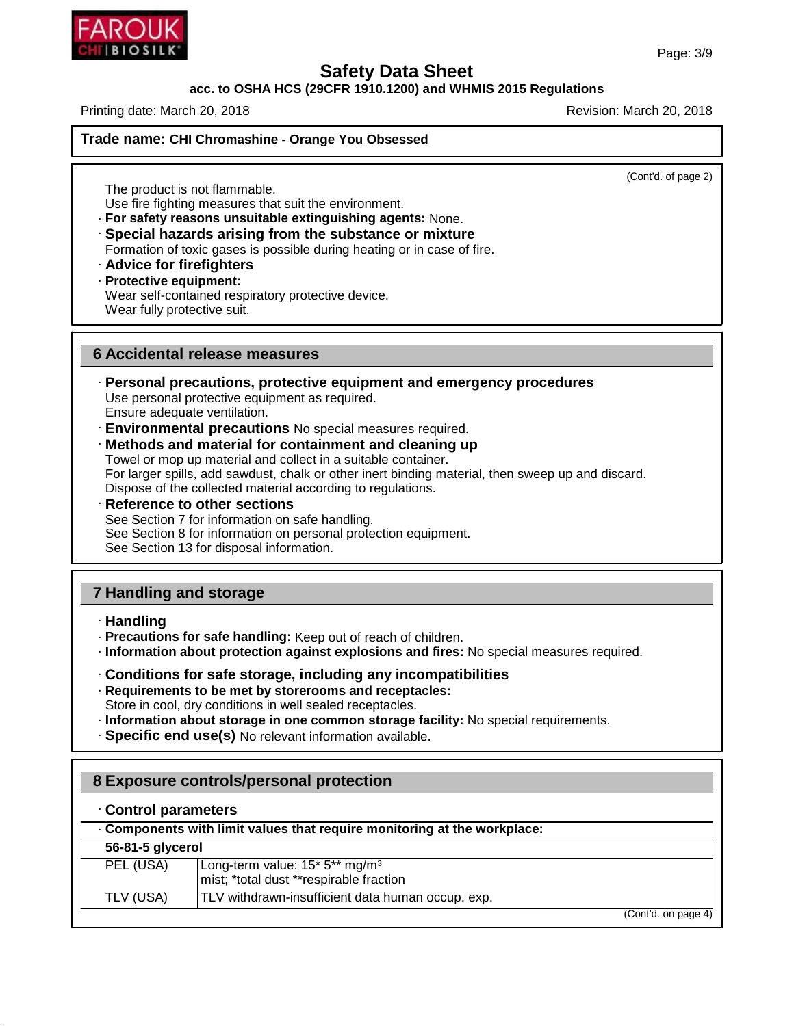

#### **acc. to OSHA HCS (29CFR 1910.1200) and WHMIS 2015 Regulations**

Printing date: March 20, 2018 **Printing date: March 20, 2018** Revision: March 20, 2018

### **Trade name: CHI Chromashine - Orange You Obsessed**

(Cont'd. of page 2)

The product is not flammable. Use fire fighting measures that suit the environment.

- · **For safety reasons unsuitable extinguishing agents:** None. · **Special hazards arising from the substance or mixture** Formation of toxic gases is possible during heating or in case of fire.
- · **Advice for firefighters**

### · **Protective equipment:**

Wear self-contained respiratory protective device. Wear fully protective suit.

### **6 Accidental release measures**

- · **Personal precautions, protective equipment and emergency procedures** Use personal protective equipment as required. Ensure adequate ventilation.
- · **Environmental precautions** No special measures required.
- · **Methods and material for containment and cleaning up** Towel or mop up material and collect in a suitable container.

For larger spills, add sawdust, chalk or other inert binding material, then sweep up and discard. Dispose of the collected material according to regulations.

· **Reference to other sections** See Section 7 for information on safe handling. See Section 8 for information on personal protection equipment. See Section 13 for disposal information.

# **7 Handling and storage**

- · **Handling**
- · **Precautions for safe handling:** Keep out of reach of children.
- · **Information about protection against explosions and fires:** No special measures required.
- · **Conditions for safe storage, including any incompatibilities**
- · **Requirements to be met by storerooms and receptacles:** Store in cool, dry conditions in well sealed receptacles.
- · **Information about storage in one common storage facility:** No special requirements.
- · **Specific end use(s)** No relevant information available.

# **8 Exposure controls/personal protection**

### · **Control parameters**

46.1.6.1

|                  | . Components with limit values that require monitoring at the workplace:                                      |                     |
|------------------|---------------------------------------------------------------------------------------------------------------|---------------------|
| 56-81-5 glycerol |                                                                                                               |                     |
| PEL (USA)        | Long-term value: 15 <sup>*</sup> 5 <sup>**</sup> mg/m <sup>3</sup><br>mist; *total dust **respirable fraction |                     |
| TLV (USA)        | TLV withdrawn-insufficient data human occup. exp.                                                             |                     |
|                  |                                                                                                               | (Cont'd. on page 4) |

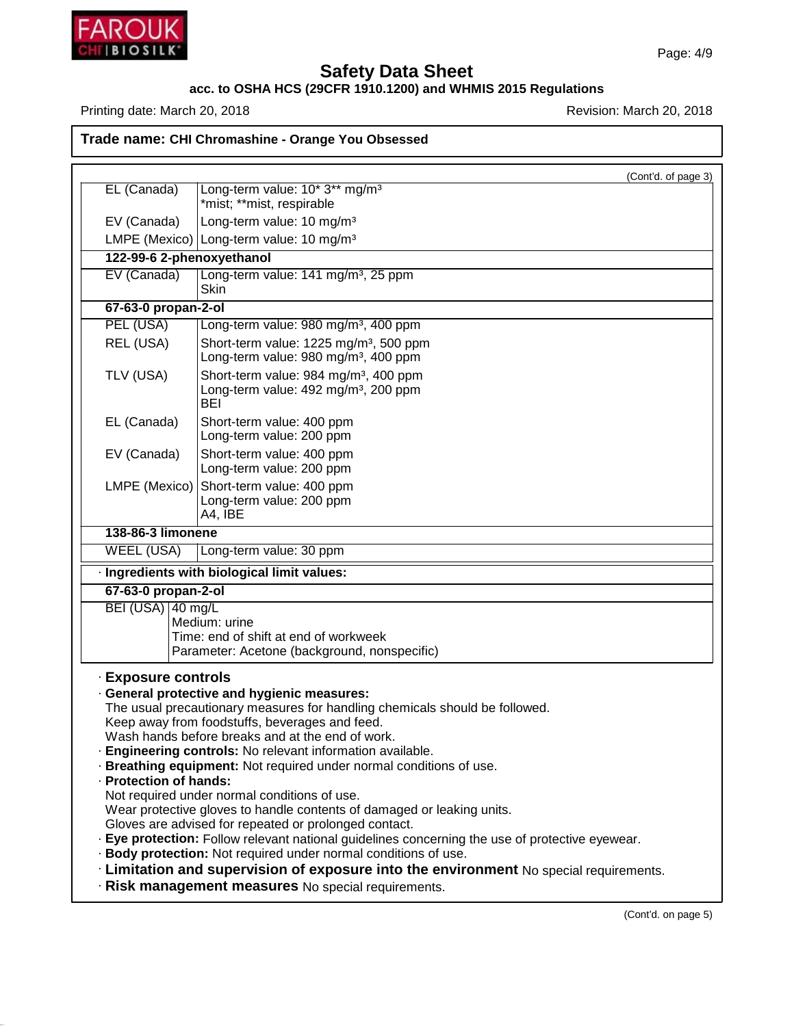

46.1.6.1

# **Safety Data Sheet**

### **acc. to OSHA HCS (29CFR 1910.1200) and WHMIS 2015 Regulations**

Printing date: March 20, 2018 **Printing date: March 20, 2018** Revision: March 20, 2018

**Trade name: CHI Chromashine - Orange You Obsessed**

(Cont'd. of page 3) EL (Canada) | Long-term value: 10<sup>\*</sup> 3<sup>\*\*</sup> mg/m<sup>3</sup> \*mist; \*\*mist, respirable EV (Canada)  $\vert$  Long-term value: 10 mg/m<sup>3</sup> LMPE (Mexico) Long-term value: 10 mg/m<sup>3</sup> **122-99-6 2-phenoxyethanol** EV (Canada) | Long-term value: 141 mg/m<sup>3</sup>, 25 ppm Skin **67-63-0 propan-2-ol** PEL (USA) Long-term value: 980 mg/m<sup>3</sup>, 400 ppm REL (USA) Short-term value:  $1225 \text{ mg/m}^3$ , 500 ppm Long-term value: 980 mg/m<sup>3</sup>, 400 ppm TLV (USA) Short-term value:  $984 \text{ mg/m}^3$ , 400 ppm Long-term value: 492 mg/m<sup>3</sup>, 200 ppm BEI EL (Canada) Short-term value: 400 ppm Long-term value: 200 ppm EV (Canada) Short-term value: 400 ppm Long-term value: 200 ppm LMPE (Mexico) Short-term value: 400 ppm Long-term value: 200 ppm A4, IBE **138-86-3 limonene** WEEL (USA) Long-term value: 30 ppm · **Ingredients with biological limit values: 67-63-0 propan-2-ol**  $BEI (USA)$  40 mg/L Medium: urine Time: end of shift at end of workweek Parameter: Acetone (background, nonspecific) · **Exposure controls** · **General protective and hygienic measures:** The usual precautionary measures for handling chemicals should be followed. Keep away from foodstuffs, beverages and feed. Wash hands before breaks and at the end of work. · **Engineering controls:** No relevant information available. · **Breathing equipment:** Not required under normal conditions of use. · **Protection of hands:** Not required under normal conditions of use. Wear protective gloves to handle contents of damaged or leaking units. Gloves are advised for repeated or prolonged contact. · **Eye protection:** Follow relevant national guidelines concerning the use of protective eyewear. · **Body protection:** Not required under normal conditions of use. · **Limitation and supervision of exposure into the environment** No special requirements. · **Risk management measures** No special requirements.

(Cont'd. on page 5)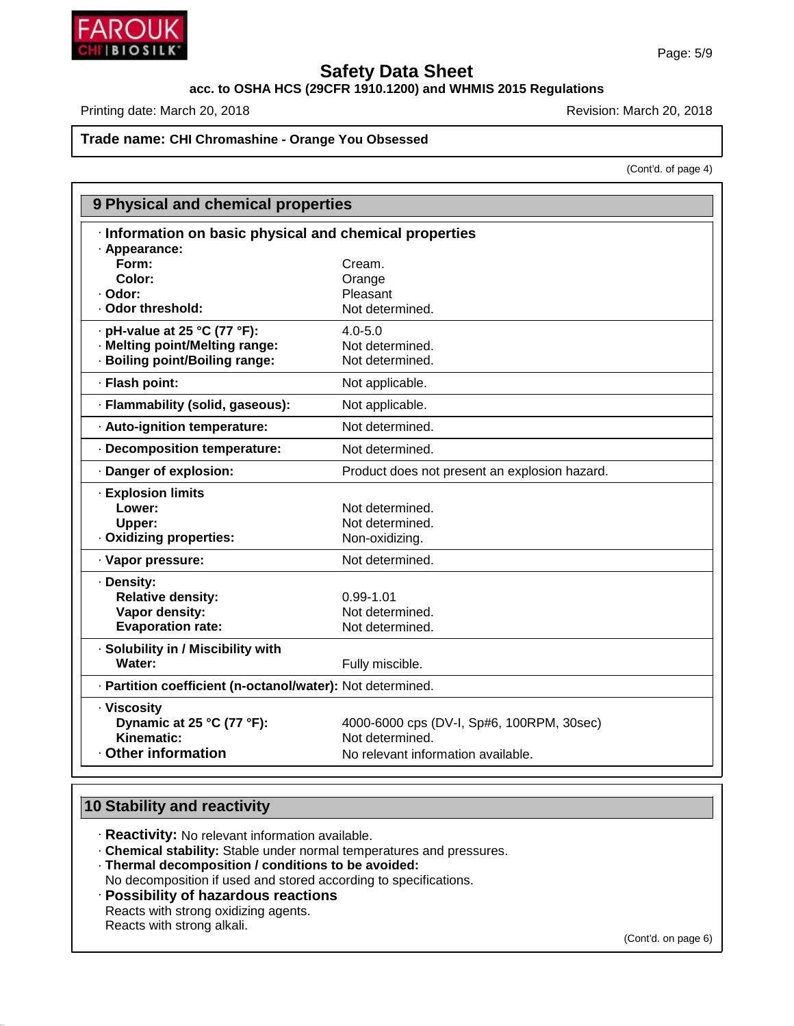

# **acc. to OSHA HCS (29CFR 1910.1200) and WHMIS 2015 Regulations**

Printing date: March 20, 2018 **Printing date: March 20, 2018** Revision: March 20, 2018

### **Trade name: CHI Chromashine - Orange You Obsessed**

(Cont'd. of page 4)

| 9 Physical and chemical properties                         |                                               |  |  |  |  |  |
|------------------------------------------------------------|-----------------------------------------------|--|--|--|--|--|
| · Information on basic physical and chemical properties    |                                               |  |  |  |  |  |
| · Appearance:                                              |                                               |  |  |  |  |  |
| Form:                                                      | Cream.                                        |  |  |  |  |  |
| Color:                                                     | Orange                                        |  |  |  |  |  |
| · Odor:                                                    | Pleasant                                      |  |  |  |  |  |
| · Odor threshold:                                          | Not determined.                               |  |  |  |  |  |
| $\cdot$ pH-value at 25 °C (77 °F):                         | $4.0 - 5.0$                                   |  |  |  |  |  |
| · Melting point/Melting range:                             | Not determined.                               |  |  |  |  |  |
| · Boiling point/Boiling range:                             | Not determined.                               |  |  |  |  |  |
| · Flash point:                                             | Not applicable.                               |  |  |  |  |  |
| · Flammability (solid, gaseous):                           | Not applicable.                               |  |  |  |  |  |
| · Auto-ignition temperature:                               | Not determined.                               |  |  |  |  |  |
| · Decomposition temperature:                               | Not determined.                               |  |  |  |  |  |
| · Danger of explosion:                                     | Product does not present an explosion hazard. |  |  |  |  |  |
| <b>Explosion limits</b>                                    |                                               |  |  |  |  |  |
| Lower:                                                     | Not determined.                               |  |  |  |  |  |
| Upper:                                                     | Not determined.                               |  |  |  |  |  |
| · Oxidizing properties:                                    | Non-oxidizing.                                |  |  |  |  |  |
| · Vapor pressure:                                          | Not determined.                               |  |  |  |  |  |
| · Density:                                                 |                                               |  |  |  |  |  |
| <b>Relative density:</b>                                   | $0.99 - 1.01$                                 |  |  |  |  |  |
| Vapor density:                                             | Not determined.                               |  |  |  |  |  |
| <b>Evaporation rate:</b>                                   | Not determined.                               |  |  |  |  |  |
| · Solubility in / Miscibility with                         |                                               |  |  |  |  |  |
| Water:                                                     | Fully miscible.                               |  |  |  |  |  |
| · Partition coefficient (n-octanol/water): Not determined. |                                               |  |  |  |  |  |
| · Viscosity                                                |                                               |  |  |  |  |  |
| Dynamic at 25 °C (77 °F):                                  | 4000-6000 cps (DV-I, Sp#6, 100RPM, 30sec)     |  |  |  |  |  |
| Kinematic:                                                 | Not determined.                               |  |  |  |  |  |
| Other information                                          | No relevant information available.            |  |  |  |  |  |
|                                                            |                                               |  |  |  |  |  |

# **10 Stability and reactivity**

46.1.6.1

· **Reactivity:** No relevant information available.

· **Chemical stability:** Stable under normal temperatures and pressures.

· **Thermal decomposition / conditions to be avoided:**

No decomposition if used and stored according to specifications.

· **Possibility of hazardous reactions**

Reacts with strong oxidizing agents. Reacts with strong alkali.

(Cont'd. on page 6)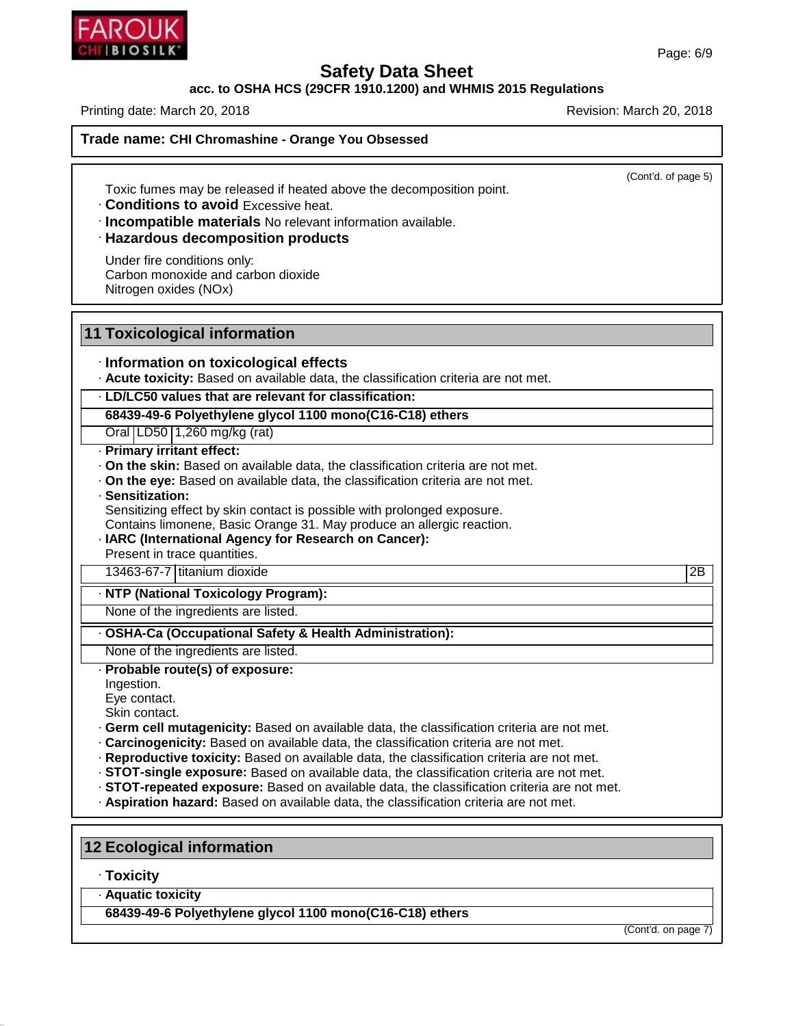### **acc. to OSHA HCS (29CFR 1910.1200) and WHMIS 2015 Regulations**

Printing date: March 20, 2018 **Printing date: March 20, 2018** Revision: March 20, 2018

(Cont'd. of page 5)

Toxic fumes may be released if heated above the decomposition point.

· **Conditions to avoid** Excessive heat.

· **Incompatible materials** No relevant information available.

### · **Hazardous decomposition products**

Under fire conditions only: Carbon monoxide and carbon dioxide Nitrogen oxides (NOx)

### **11 Toxicological information**

#### · **Information on toxicological effects**

· **Acute toxicity:** Based on available data, the classification criteria are not met.

· **LD/LC50 values that are relevant for classification:**

**68439-49-6 Polyethylene glycol 1100 mono(C16-C18) ethers**

Oral LD50 1,260 mg/kg (rat)

- · **Primary irritant effect:**
- · **On the skin:** Based on available data, the classification criteria are not met.
- · **On the eye:** Based on available data, the classification criteria are not met.
- · **Sensitization:**

Sensitizing effect by skin contact is possible with prolonged exposure.

Contains limonene, Basic Orange 31. May produce an allergic reaction.

· **IARC (International Agency for Research on Cancer):** Present in trace quantities.

13463-67-7 titanium dioxide 2B

#### · **NTP (National Toxicology Program):**

None of the ingredients are listed.

· **OSHA-Ca (Occupational Safety & Health Administration):**

None of the ingredients are listed.

· **Probable route(s) of exposure:**

Ingestion.

Eye contact.

Skin contact.

- · **Germ cell mutagenicity:** Based on available data, the classification criteria are not met.
- · **Carcinogenicity:** Based on available data, the classification criteria are not met.
- · **Reproductive toxicity:** Based on available data, the classification criteria are not met.
- · **STOT-single exposure:** Based on available data, the classification criteria are not met.
- · **STOT-repeated exposure:** Based on available data, the classification criteria are not met.
- · **Aspiration hazard:** Based on available data, the classification criteria are not met.

### **12 Ecological information**

· **Toxicity**

46.1.6.1

· **Aquatic toxicity**

**68439-49-6 Polyethylene glycol 1100 mono(C16-C18) ethers**

(Cont'd. on page 7)

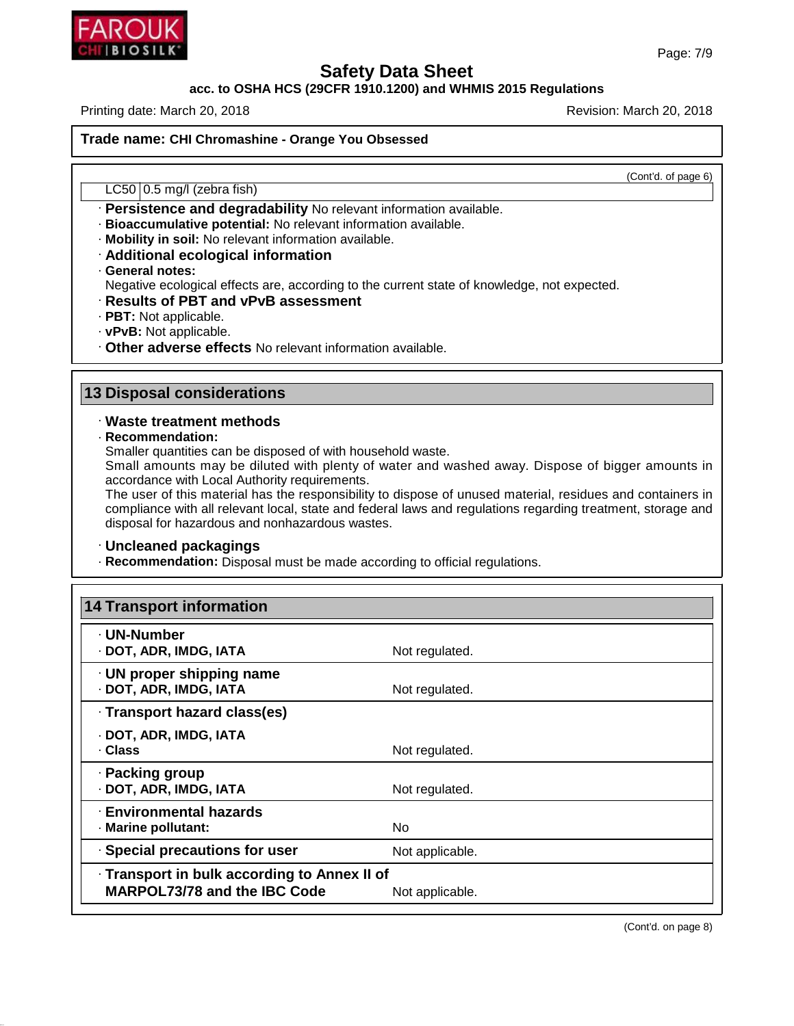

### **acc. to OSHA HCS (29CFR 1910.1200) and WHMIS 2015 Regulations**

Printing date: March 20, 2018 **Printing date: March 20, 2018** Revision: March 20, 2018

**Trade name: CHI Chromashine - Orange You Obsessed**

(Cont'd. of page 6)

LC50 0.5 mg/l (zebra fish)

- · **Persistence and degradability** No relevant information available.
- · **Bioaccumulative potential:** No relevant information available.
- · **Mobility in soil:** No relevant information available.
- · **Additional ecological information**
- · **General notes:**

Negative ecological effects are, according to the current state of knowledge, not expected.

- · **Results of PBT and vPvB assessment**
- · **PBT:** Not applicable.
- · **vPvB:** Not applicable.
- · **Other adverse effects** No relevant information available.

### **13 Disposal considerations**

### · **Waste treatment methods**

· **Recommendation:**

46.1.6.1

Smaller quantities can be disposed of with household waste.

Small amounts may be diluted with plenty of water and washed away. Dispose of bigger amounts in accordance with Local Authority requirements.

The user of this material has the responsibility to dispose of unused material, residues and containers in compliance with all relevant local, state and federal laws and regulations regarding treatment, storage and disposal for hazardous and nonhazardous wastes.

### · **Uncleaned packagings**

· **Recommendation:** Disposal must be made according to official regulations.

| 14 Transport information                                                            |                 |
|-------------------------------------------------------------------------------------|-----------------|
| · UN-Number<br>· DOT, ADR, IMDG, IATA                                               | Not regulated.  |
| $\cdot$ UN proper shipping name<br>· DOT, ADR, IMDG, IATA                           | Not regulated.  |
| · Transport hazard class(es)                                                        |                 |
| · DOT, ADR, IMDG, IATA<br>· Class                                                   | Not regulated.  |
| · Packing group<br>· DOT, ADR, IMDG, IATA                                           | Not regulated.  |
| · Environmental hazards<br>· Marine pollutant:                                      | No.             |
| · Special precautions for user                                                      | Not applicable. |
| · Transport in bulk according to Annex II of<br><b>MARPOL73/78 and the IBC Code</b> | Not applicable. |

Page: 7/9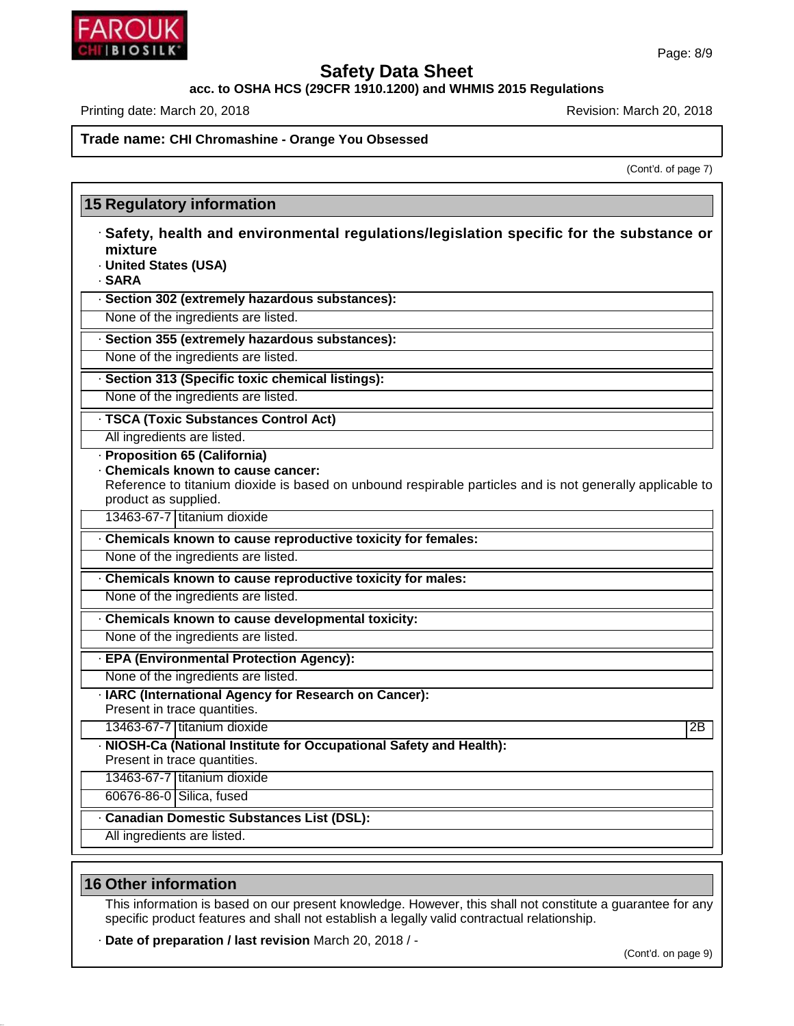

**acc. to OSHA HCS (29CFR 1910.1200) and WHMIS 2015 Regulations**

Printing date: March 20, 2018 **Printing date: March 20, 2018** Revision: March 20, 2018

### **Trade name: CHI Chromashine - Orange You Obsessed**

(Cont'd. of page 7)

| 15 Regulatory information                                                                                                                                                                                                               |    |
|-----------------------------------------------------------------------------------------------------------------------------------------------------------------------------------------------------------------------------------------|----|
| · Safety, health and environmental regulations/legislation specific for the substance or<br>mixture<br>· United States (USA)<br>· SARA                                                                                                  |    |
| · Section 302 (extremely hazardous substances):                                                                                                                                                                                         |    |
| None of the ingredients are listed.                                                                                                                                                                                                     |    |
| · Section 355 (extremely hazardous substances):                                                                                                                                                                                         |    |
| None of the ingredients are listed.                                                                                                                                                                                                     |    |
| · Section 313 (Specific toxic chemical listings):                                                                                                                                                                                       |    |
| None of the ingredients are listed.                                                                                                                                                                                                     |    |
| · TSCA (Toxic Substances Control Act)                                                                                                                                                                                                   |    |
| All ingredients are listed.                                                                                                                                                                                                             |    |
| · Proposition 65 (California)<br>. Chemicals known to cause cancer:<br>Reference to titanium dioxide is based on unbound respirable particles and is not generally applicable to<br>product as supplied.<br>13463-67-7 titanium dioxide |    |
|                                                                                                                                                                                                                                         |    |
| . Chemicals known to cause reproductive toxicity for females:                                                                                                                                                                           |    |
| None of the ingredients are listed.                                                                                                                                                                                                     |    |
| Chemicals known to cause reproductive toxicity for males:                                                                                                                                                                               |    |
| None of the ingredients are listed.                                                                                                                                                                                                     |    |
| . Chemicals known to cause developmental toxicity:                                                                                                                                                                                      |    |
| None of the ingredients are listed.                                                                                                                                                                                                     |    |
| · EPA (Environmental Protection Agency):                                                                                                                                                                                                |    |
| None of the ingredients are listed.                                                                                                                                                                                                     |    |
| · IARC (International Agency for Research on Cancer):<br>Present in trace quantities.                                                                                                                                                   |    |
| 13463-67-7 titanium dioxide                                                                                                                                                                                                             | 2B |
| · NIOSH-Ca (National Institute for Occupational Safety and Health):<br>Present in trace quantities.                                                                                                                                     |    |
| 13463-67-7 titanium dioxide                                                                                                                                                                                                             |    |
| 60676-86-0 Silica, fused                                                                                                                                                                                                                |    |
| · Canadian Domestic Substances List (DSL):                                                                                                                                                                                              |    |
| All ingredients are listed.                                                                                                                                                                                                             |    |

### **16 Other information**

46.1.6.1

This information is based on our present knowledge. However, this shall not constitute a guarantee for any specific product features and shall not establish a legally valid contractual relationship.

· **Date of preparation / last revision** March 20, 2018 / -

(Cont'd. on page 9)